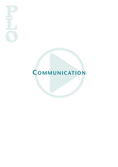## **COMMUNICATION**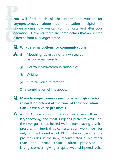You will find much of the information written for laryngectomees about communication helpful in understanding how you can communicate best after your operation. However there are some details that are a little different from a laryngectomee.

- **Q What are my options for communication?**
- **A Mouthing**, developing to a whispered oesophageal speech
	- Electro larynx/communication aids  $\bullet$
	- $\bullet$ Writing
	- $\bigodot$ Surgical voice restoration

Or a combination of the above.

- **Q Many laryngectomees seem to have surgical voice restoration offered at the time of their operation. Can I have a voice prosthesis?**
- **A** <sup>A</sup> PLO operation is more extensive than <sup>a</sup> laryngectomy, and most surgeons prefer to wait until the new gullet has healed well before placing a voice prosthesis. Surgical voice restoration works well for only a small number of PLO patients because the prosthesis lies in the new, reconstructed gullet rather than the throat tissue, often preserved in laryngectomees, giving a quite wet whispered voice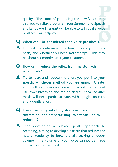quality. The effort of producing the new 'voice' may also add to reflux problems. Your Surgeon and Speech and Language Therapist will be able to tell you if a voice prosthesis will help you.

## **Q When can <sup>I</sup> be considered for <sup>a</sup> voice prosthesis?**

**A** This will be determined by how quickly your body heals, and whether you need radiotherapy. This may be about six months after your treatment.

## **Q How can <sup>I</sup> reduce the reflux from my stomach when I talk?**

- **A** Try to relax and reduce the effort you put into your speech, whichever method you are using. Greater effort will no longer give you a louder volume. Instead use lower breathing and mouth clearly. Speaking after meals will need particular care, with upright posture, and a gentle effort.
- **Q The air rushing out of my stoma as <sup>I</sup> talk is distracting, and embarrassing. What can I do to reduce it?**
- **A** Keep developing <sup>a</sup> relaxed gentle approach to breathing, aiming to develop a pattern that reduces the natural tendency to force the air, seeking a louder volume. The volume of your voice cannot be made louder by stronger breath.